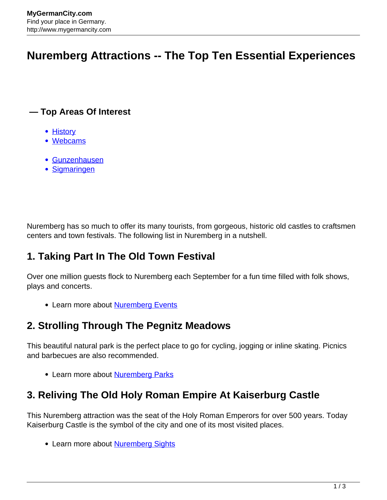# **Nuremberg Attractions -- The Top Ten Essential Experiences**

#### **— Top Areas Of Interest**

- [History](http://www.mygermancity.com/leipzig-history)
- [Webcams](http://www.mygermancity.com/neustadt-holstein-webcams)
- [Gunzenhausen](http://www.mygermancity.com/gunzenhausen)
- [Sigmaringen](http://www.mygermancity.com/sigmaringen)

Nuremberg has so much to offer its many tourists, from gorgeous, historic old castles to craftsmen centers and town festivals. The following list in Nuremberg in a nutshell.

## **1. Taking Part In The Old Town Festival**

Over one million guests flock to Nuremberg each September for a fun time filled with folk shows, plays and concerts.

• Learn more about **[Nuremberg Events](http://www.mygermancity.com/nuremberg-events)** 

### **2. Strolling Through The Pegnitz Meadows**

This beautiful natural park is the perfect place to go for cycling, jogging or inline skating. Picnics and barbecues are also recommended.

• Learn more about **[Nuremberg Parks](http://www.mygermancity.com/nuremberg-parks)** 

## **3. Reliving The Old Holy Roman Empire At Kaiserburg Castle**

This Nuremberg attraction was the seat of the Holy Roman Emperors for over 500 years. Today Kaiserburg Castle is the symbol of the city and one of its most visited places.

• Learn more about **[Nuremberg Sights](http://www.mygermancity.com/nuremberg-sights)**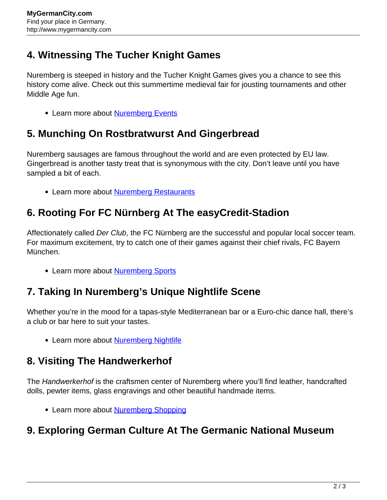### **4. Witnessing The Tucher Knight Games**

Nuremberg is steeped in history and the Tucher Knight Games gives you a chance to see this history come alive. Check out this summertime medieval fair for jousting tournaments and other Middle Age fun.

• Learn more about [Nuremberg Events](http://www.mygermancity.com/nuremberg-events)

#### **5. Munching On Rostbratwurst And Gingerbread**

Nuremberg sausages are famous throughout the world and are even protected by EU law. Gingerbread is another tasty treat that is synonymous with the city. Don't leave until you have sampled a bit of each.

• Learn more about [Nuremberg Restaurants](http://www.mygermancity.com/nuremberg-restaurants)

### **6. Rooting For FC Nürnberg At The easyCredit-Stadion**

Affectionately called Der Club, the FC Nürnberg are the successful and popular local soccer team. For maximum excitement, try to catch one of their games against their chief rivals, FC Bayern München.

• Learn more about [Nuremberg Sports](http://www.mygermancity.com/nuremberg-sports)

#### **7. Taking In Nuremberg's Unique Nightlife Scene**

Whether you're in the mood for a tapas-style Mediterranean bar or a Euro-chic dance hall, there's a club or bar here to suit your tastes.

• Learn more about [Nuremberg Nightlife](http://www.mygermancity.com/nuremberg-nightlife)

#### **8. Visiting The Handwerkerhof**

The Handwerkerhof is the craftsmen center of Nuremberg where you'll find leather, handcrafted dolls, pewter items, glass engravings and other beautiful handmade items.

• Learn more about [Nuremberg Shopping](http://www.mygermancity.com/nuremberg-shopping)

#### **9. Exploring German Culture At The Germanic National Museum**